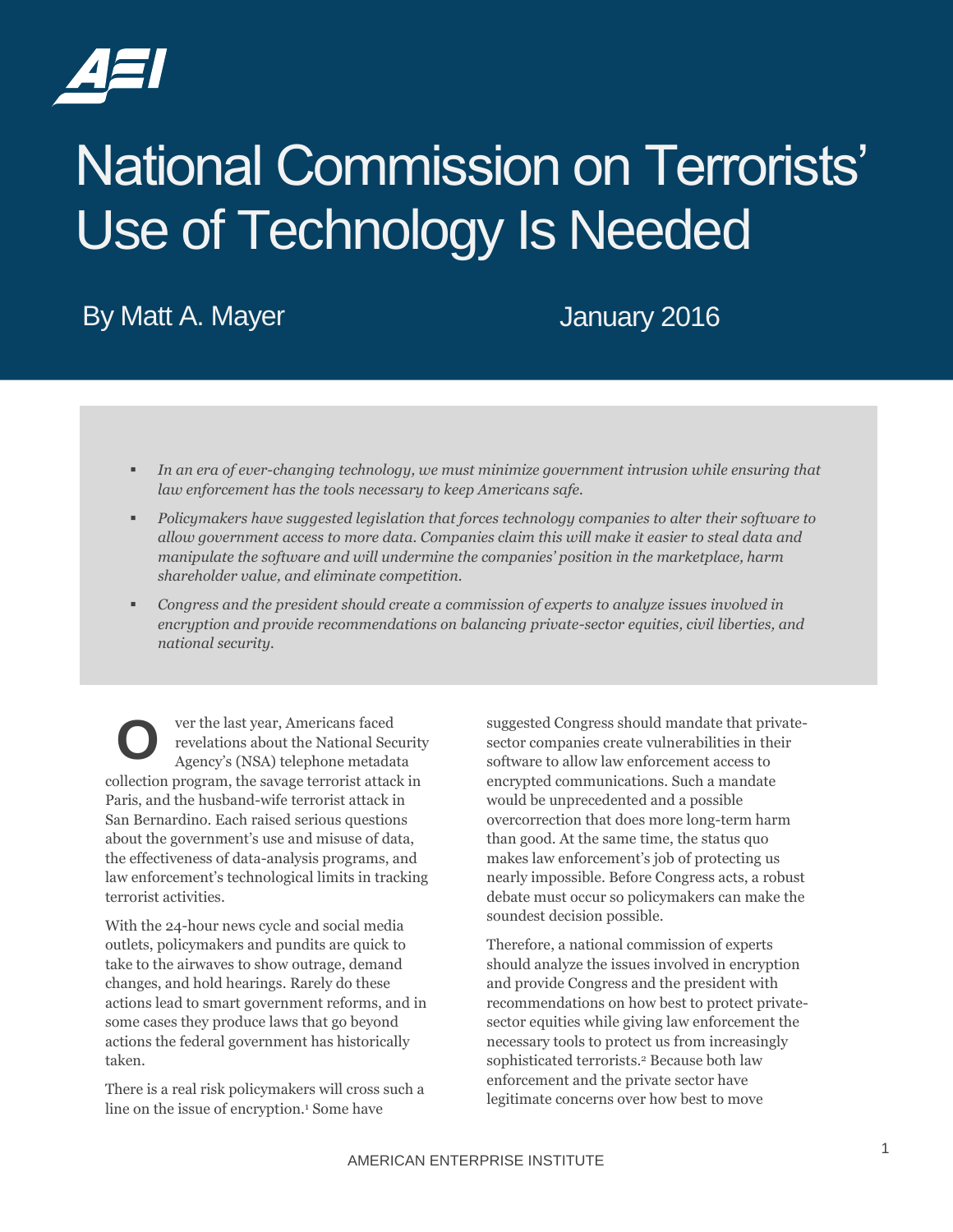

# National Commission on Terrorists' Use of Technology Is Needed

By Matt A. Mayer **Internal and Struth A. Mayer** January 2016

- *In an era of ever-changing technology, we must minimize government intrusion while ensuring that law enforcement has the tools necessary to keep Americans safe.*
- *Policymakers have suggested legislation that forces technology companies to alter their software to allow government access to more data. Companies claim this will make it easier to steal data and manipulate the software and will undermine the companies' position in the marketplace, harm shareholder value, and eliminate competition.*
- *Congress and the president should create a commission of experts to analyze issues involved in encryption and provide recommendations on balancing private-sector equities, civil liberties, and national security.*

ver the last year, Americans faced revelations about the National Security Agency's (NSA) telephone metadata collection program, the savage terrorist attack in Paris, and the husband-wife terrorist attack in San Bernardino. Each raised serious questions about the government's use and misuse of data, the effectiveness of data-analysis programs, and law enforcement's technological limits in tracking terrorist activities. **O**

With the 24-hour news cycle and social media outlets, policymakers and pundits are quick to take to the airwaves to show outrage, demand changes, and hold hearings. Rarely do these actions lead to smart government reforms, and in some cases they produce laws that go beyond actions the federal government has historically taken.

There is a real risk policymakers will cross such a line on the issue of encryption.<sup>1</sup> Some have

suggested Congress should mandate that privatesector companies create vulnerabilities in their software to allow law enforcement access to encrypted communications. Such a mandate would be unprecedented and a possible overcorrection that does more long-term harm than good. At the same time, the status quo makes law enforcement's job of protecting us nearly impossible. Before Congress acts, a robust debate must occur so policymakers can make the soundest decision possible.

Therefore, a national commission of experts should analyze the issues involved in encryption and provide Congress and the president with recommendations on how best to protect privatesector equities while giving law enforcement the necessary tools to protect us from increasingly sophisticated terrorists.<sup>2</sup> Because both law enforcement and the private sector have legitimate concerns over how best to move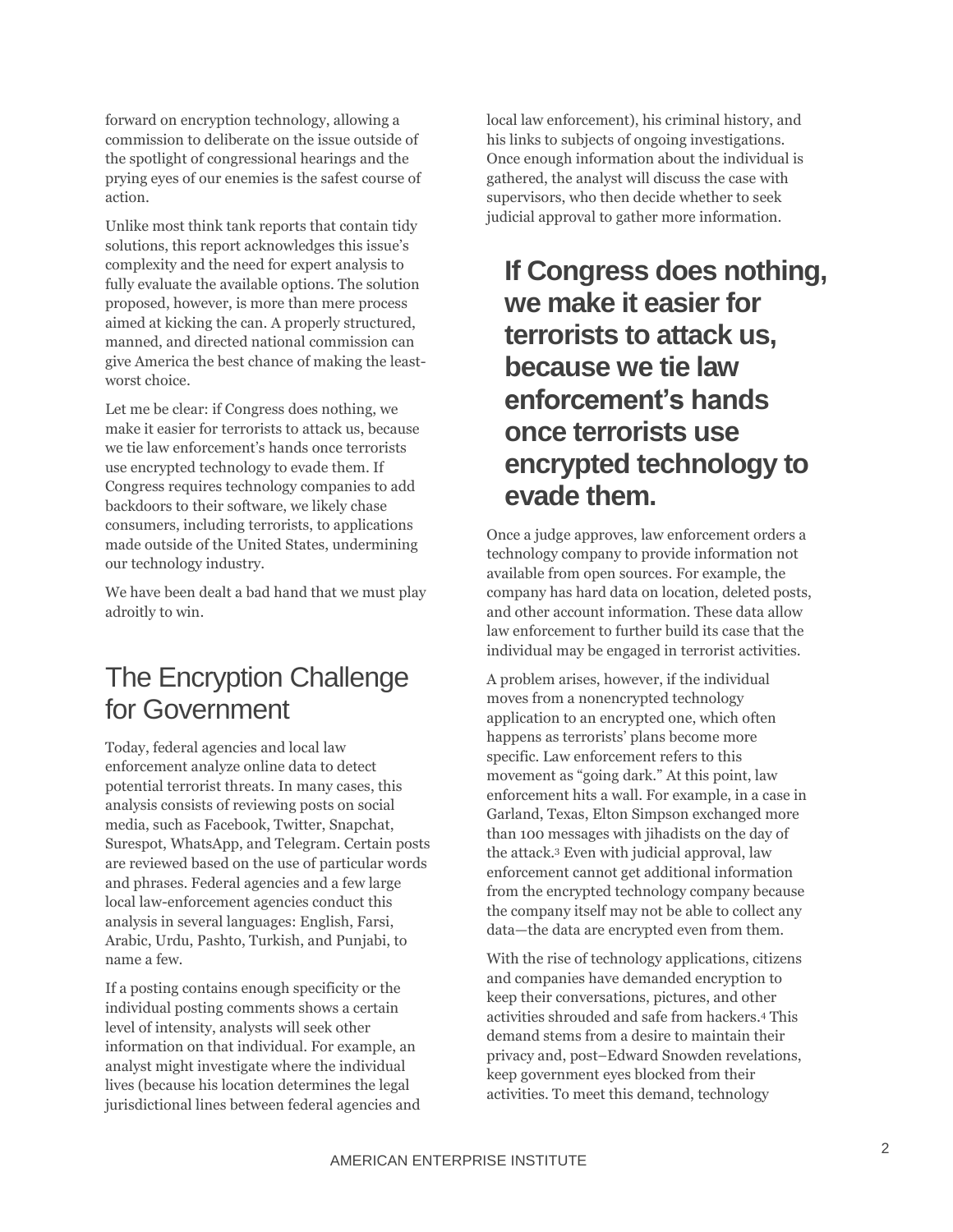forward on encryption technology, allowing a commission to deliberate on the issue outside of the spotlight of congressional hearings and the prying eyes of our enemies is the safest course of action.

Unlike most think tank reports that contain tidy solutions, this report acknowledges this issue's complexity and the need for expert analysis to fully evaluate the available options. The solution proposed, however, is more than mere process aimed at kicking the can. A properly structured, manned, and directed national commission can give America the best chance of making the leastworst choice.

Let me be clear: if Congress does nothing, we make it easier for terrorists to attack us, because we tie law enforcement's hands once terrorists use encrypted technology to evade them. If Congress requires technology companies to add backdoors to their software, we likely chase consumers, including terrorists, to applications made outside of the United States, undermining our technology industry.

We have been dealt a bad hand that we must play adroitly to win.

# The Encryption Challenge for Government

Today, federal agencies and local law enforcement analyze online data to detect potential terrorist threats. In many cases, this analysis consists of reviewing posts on social media, such as Facebook, Twitter, Snapchat, Surespot, WhatsApp, and Telegram. Certain posts are reviewed based on the use of particular words and phrases. Federal agencies and a few large local law-enforcement agencies conduct this analysis in several languages: English, Farsi, Arabic, Urdu, Pashto, Turkish, and Punjabi, to name a few.

If a posting contains enough specificity or the individual posting comments shows a certain level of intensity, analysts will seek other information on that individual. For example, an analyst might investigate where the individual lives (because his location determines the legal jurisdictional lines between federal agencies and local law enforcement), his criminal history, and his links to subjects of ongoing investigations. Once enough information about the individual is gathered, the analyst will discuss the case with supervisors, who then decide whether to seek judicial approval to gather more information.

# **If Congress does nothing, we make it easier for terrorists to attack us, because we tie law enforcement's hands once terrorists use encrypted technology to evade them.**

Once a judge approves, law enforcement orders a technology company to provide information not available from open sources. For example, the company has hard data on location, deleted posts, and other account information. These data allow law enforcement to further build its case that the individual may be engaged in terrorist activities.

A problem arises, however, if the individual moves from a nonencrypted technology application to an encrypted one, which often happens as terrorists' plans become more specific. Law enforcement refers to this movement as "going dark." At this point, law enforcement hits a wall. For example, in a case in Garland, Texas, Elton Simpson exchanged more than 100 messages with jihadists on the day of the attack.<sup>3</sup> Even with judicial approval, law enforcement cannot get additional information from the encrypted technology company because the company itself may not be able to collect any data—the data are encrypted even from them.

With the rise of technology applications, citizens and companies have demanded encryption to keep their conversations, pictures, and other activities shrouded and safe from hackers.<sup>4</sup> This demand stems from a desire to maintain their privacy and, post–Edward Snowden revelations, keep government eyes blocked from their activities. To meet this demand, technology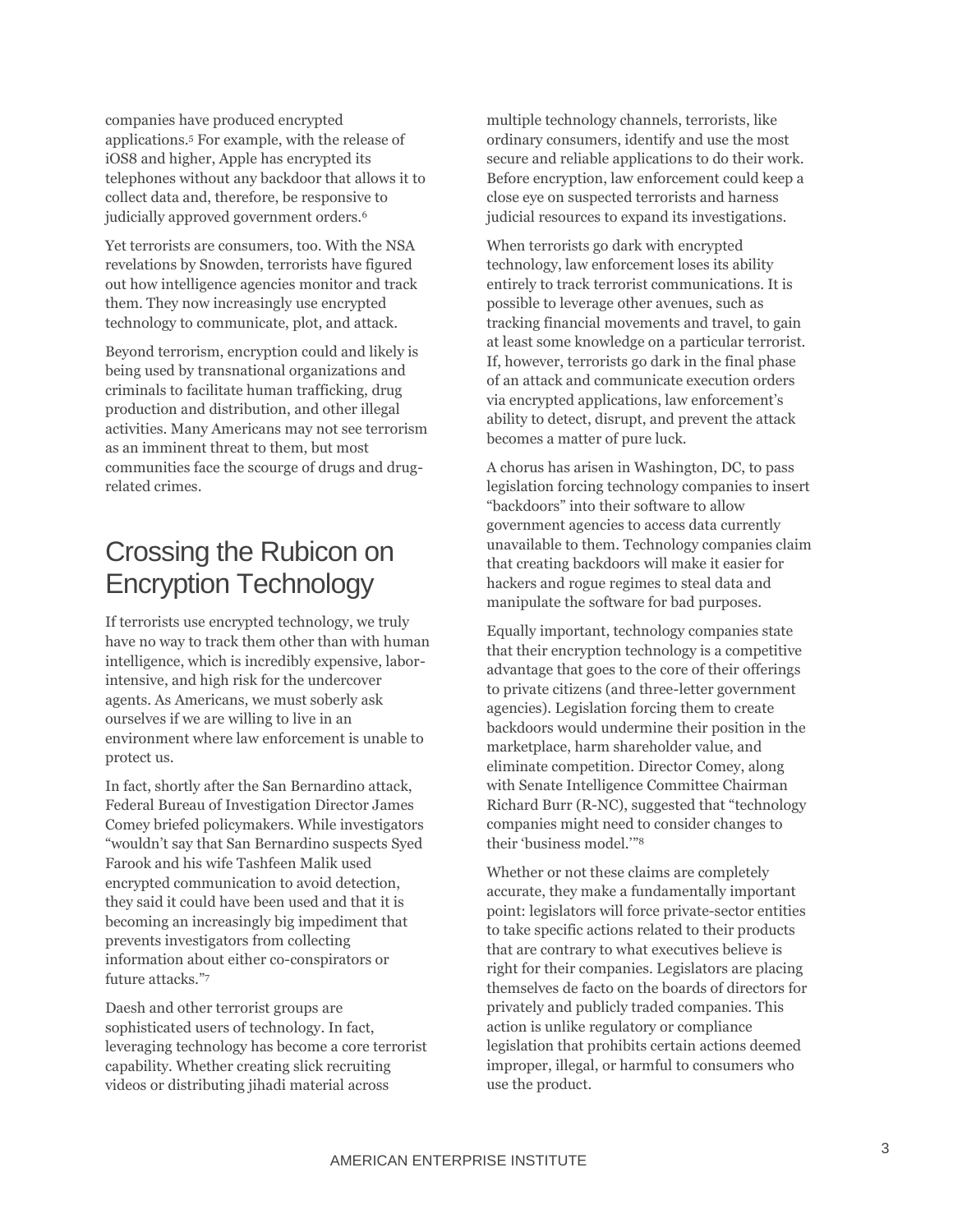companies have produced encrypted applications.<sup>5</sup> For example, with the release of iOS8 and higher, Apple has encrypted its telephones without any backdoor that allows it to collect data and, therefore, be responsive to judicially approved government orders.<sup>6</sup>

Yet terrorists are consumers, too. With the NSA revelations by Snowden, terrorists have figured out how intelligence agencies monitor and track them. They now increasingly use encrypted technology to communicate, plot, and attack.

Beyond terrorism, encryption could and likely is being used by transnational organizations and criminals to facilitate human trafficking, drug production and distribution, and other illegal activities. Many Americans may not see terrorism as an imminent threat to them, but most communities face the scourge of drugs and drugrelated crimes.

# Crossing the Rubicon on Encryption Technology

If terrorists use encrypted technology, we truly have no way to track them other than with human intelligence, which is incredibly expensive, laborintensive, and high risk for the undercover agents. As Americans, we must soberly ask ourselves if we are willing to live in an environment where law enforcement is unable to protect us.

In fact, shortly after the San Bernardino attack, Federal Bureau of Investigation Director James Comey briefed policymakers. While investigators "wouldn't say that San Bernardino suspects Syed Farook and his wife Tashfeen Malik used encrypted communication to avoid detection, they said it could have been used and that it is becoming an increasingly big impediment that prevents investigators from collecting information about either co-conspirators or future attacks."<sup>7</sup>

Daesh and other terrorist groups are sophisticated users of technology. In fact, leveraging technology has become a core terrorist capability. Whether creating slick recruiting videos or distributing jihadi material across

multiple technology channels, terrorists, like ordinary consumers, identify and use the most secure and reliable applications to do their work. Before encryption, law enforcement could keep a close eye on suspected terrorists and harness judicial resources to expand its investigations.

When terrorists go dark with encrypted technology, law enforcement loses its ability entirely to track terrorist communications. It is possible to leverage other avenues, such as tracking financial movements and travel, to gain at least some knowledge on a particular terrorist. If, however, terrorists go dark in the final phase of an attack and communicate execution orders via encrypted applications, law enforcement's ability to detect, disrupt, and prevent the attack becomes a matter of pure luck.

A chorus has arisen in Washington, DC, to pass legislation forcing technology companies to insert "backdoors" into their software to allow government agencies to access data currently unavailable to them. Technology companies claim that creating backdoors will make it easier for hackers and rogue regimes to steal data and manipulate the software for bad purposes.

Equally important, technology companies state that their encryption technology is a competitive advantage that goes to the core of their offerings to private citizens (and three-letter government agencies). Legislation forcing them to create backdoors would undermine their position in the marketplace, harm shareholder value, and eliminate competition. Director Comey, along with Senate Intelligence Committee Chairman Richard Burr (R-NC), suggested that "technology companies might need to consider changes to their 'business model.'"<sup>8</sup>

Whether or not these claims are completely accurate, they make a fundamentally important point: legislators will force private-sector entities to take specific actions related to their products that are contrary to what executives believe is right for their companies. Legislators are placing themselves de facto on the boards of directors for privately and publicly traded companies. This action is unlike regulatory or compliance legislation that prohibits certain actions deemed improper, illegal, or harmful to consumers who use the product.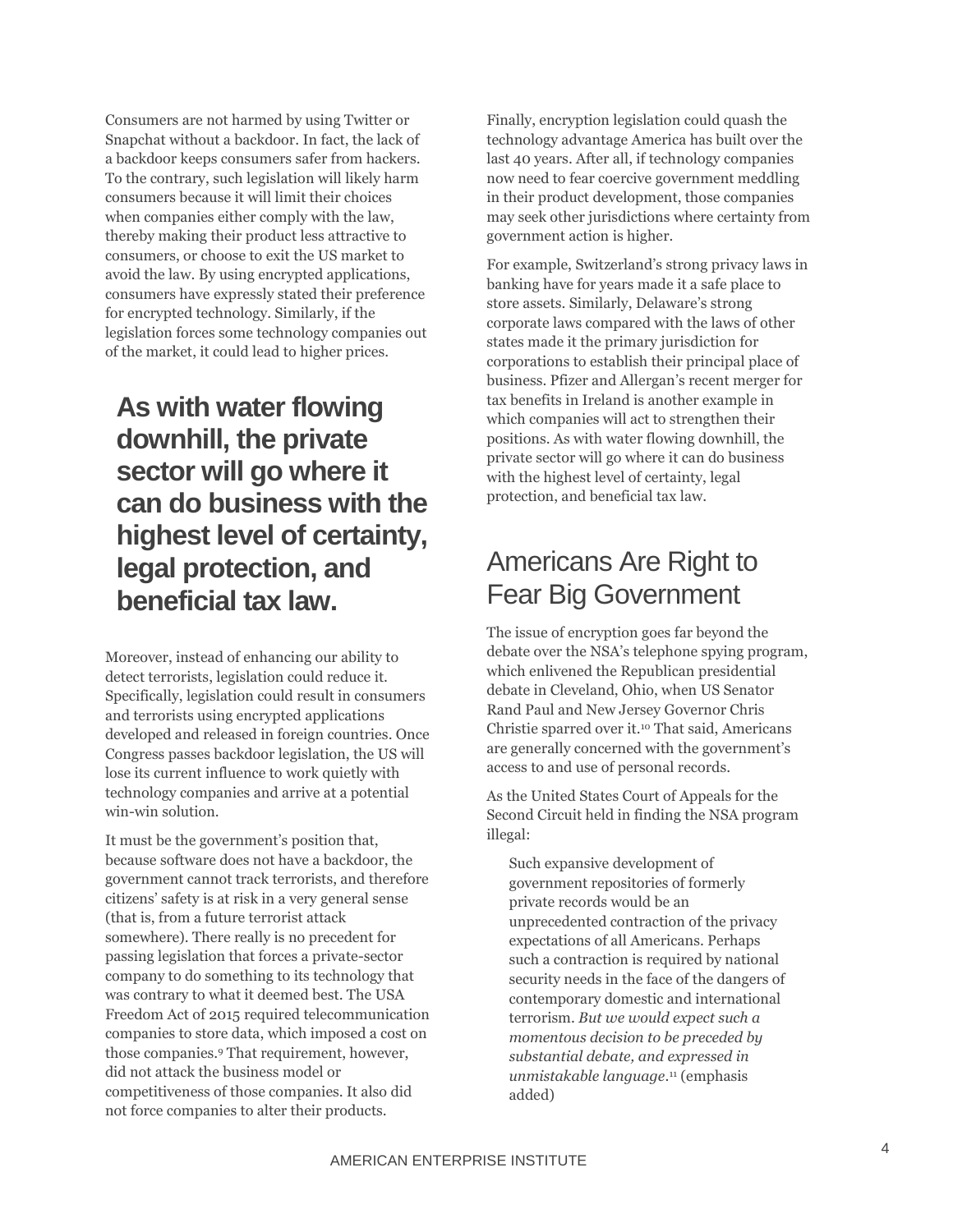Consumers are not harmed by using Twitter or Snapchat without a backdoor. In fact, the lack of a backdoor keeps consumers safer from hackers. To the contrary, such legislation will likely harm consumers because it will limit their choices when companies either comply with the law, thereby making their product less attractive to consumers, or choose to exit the US market to avoid the law. By using encrypted applications, consumers have expressly stated their preference for encrypted technology. Similarly, if the legislation forces some technology companies out of the market, it could lead to higher prices.

## **As with water flowing downhill, the private sector will go where it can do business with the highest level of certainty, legal protection, and beneficial tax law.**

Moreover, instead of enhancing our ability to detect terrorists, legislation could reduce it. Specifically, legislation could result in consumers and terrorists using encrypted applications developed and released in foreign countries. Once Congress passes backdoor legislation, the US will lose its current influence to work quietly with technology companies and arrive at a potential win-win solution.

It must be the government's position that, because software does not have a backdoor, the government cannot track terrorists, and therefore citizens' safety is at risk in a very general sense (that is, from a future terrorist attack somewhere). There really is no precedent for passing legislation that forces a private-sector company to do something to its technology that was contrary to what it deemed best. The USA Freedom Act of 2015 required telecommunication companies to store data, which imposed a cost on those companies.<sup>9</sup> That requirement, however, did not attack the business model or competitiveness of those companies. It also did not force companies to alter their products.

Finally, encryption legislation could quash the technology advantage America has built over the last 40 years. After all, if technology companies now need to fear coercive government meddling in their product development, those companies may seek other jurisdictions where certainty from government action is higher.

For example, Switzerland's strong privacy laws in banking have for years made it a safe place to store assets. Similarly, Delaware's strong corporate laws compared with the laws of other states made it the primary jurisdiction for corporations to establish their principal place of business. Pfizer and Allergan's recent merger for tax benefits in Ireland is another example in which companies will act to strengthen their positions. As with water flowing downhill, the private sector will go where it can do business with the highest level of certainty, legal protection, and beneficial tax law.

## Americans Are Right to Fear Big Government

The issue of encryption goes far beyond the debate over the NSA's telephone spying program, which enlivened the Republican presidential debate in Cleveland, Ohio, when US Senator Rand Paul and New Jersey Governor Chris Christie sparred over it.<sup>10</sup> That said, Americans are generally concerned with the government's access to and use of personal records.

As the United States Court of Appeals for the Second Circuit held in finding the NSA program illegal:

Such expansive development of government repositories of formerly private records would be an unprecedented contraction of the privacy expectations of all Americans. Perhaps such a contraction is required by national security needs in the face of the dangers of contemporary domestic and international terrorism. *But we would expect such a momentous decision to be preceded by substantial debate, and expressed in unmistakable language*. <sup>11</sup> (emphasis added)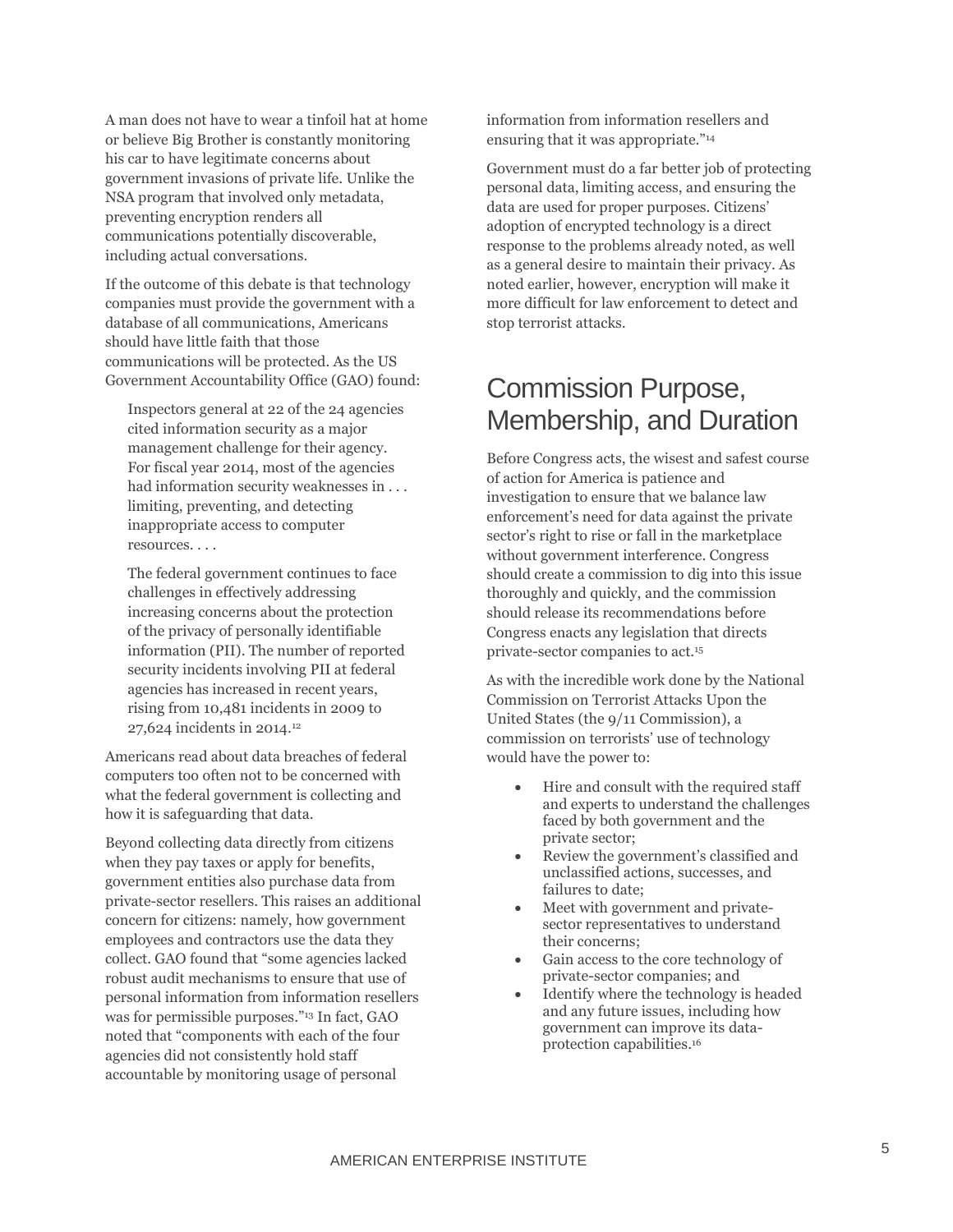A man does not have to wear a tinfoil hat at home or believe Big Brother is constantly monitoring his car to have legitimate concerns about government invasions of private life. Unlike the NSA program that involved only metadata, preventing encryption renders all communications potentially discoverable, including actual conversations.

If the outcome of this debate is that technology companies must provide the government with a database of all communications, Americans should have little faith that those communications will be protected. As the US Government Accountability Office (GAO) found:

Inspectors general at 22 of the 24 agencies cited information security as a major management challenge for their agency. For fiscal year 2014, most of the agencies had information security weaknesses in . . . limiting, preventing, and detecting inappropriate access to computer resources. . . .

The federal government continues to face challenges in effectively addressing increasing concerns about the protection of the privacy of personally identifiable information (PII). The number of reported security incidents involving PII at federal agencies has increased in recent years, rising from 10,481 incidents in 2009 to 27,624 incidents in 2014.<sup>12</sup>

Americans read about data breaches of federal computers too often not to be concerned with what the federal government is collecting and how it is safeguarding that data.

Beyond collecting data directly from citizens when they pay taxes or apply for benefits, government entities also purchase data from private-sector resellers. This raises an additional concern for citizens: namely, how government employees and contractors use the data they collect. GAO found that "some agencies lacked robust audit mechanisms to ensure that use of personal information from information resellers was for permissible purposes."<sup>13</sup> In fact, GAO noted that "components with each of the four agencies did not consistently hold staff accountable by monitoring usage of personal

information from information resellers and ensuring that it was appropriate."<sup>14</sup>

Government must do a far better job of protecting personal data, limiting access, and ensuring the data are used for proper purposes. Citizens' adoption of encrypted technology is a direct response to the problems already noted, as well as a general desire to maintain their privacy. As noted earlier, however, encryption will make it more difficult for law enforcement to detect and stop terrorist attacks.

## Commission Purpose, Membership, and Duration

Before Congress acts, the wisest and safest course of action for America is patience and investigation to ensure that we balance law enforcement's need for data against the private sector's right to rise or fall in the marketplace without government interference. Congress should create a commission to dig into this issue thoroughly and quickly, and the commission should release its recommendations before Congress enacts any legislation that directs private-sector companies to act.<sup>15</sup>

As with the incredible work done by the National Commission on Terrorist Attacks Upon the United States (the 9/11 Commission), a commission on terrorists' use of technology would have the power to:

- Hire and consult with the required staff and experts to understand the challenges faced by both government and the private sector;
- Review the government's classified and unclassified actions, successes, and failures to date;
- Meet with government and privatesector representatives to understand their concerns;
- Gain access to the core technology of private-sector companies; and
- Identify where the technology is headed and any future issues, including how government can improve its dataprotection capabilities.16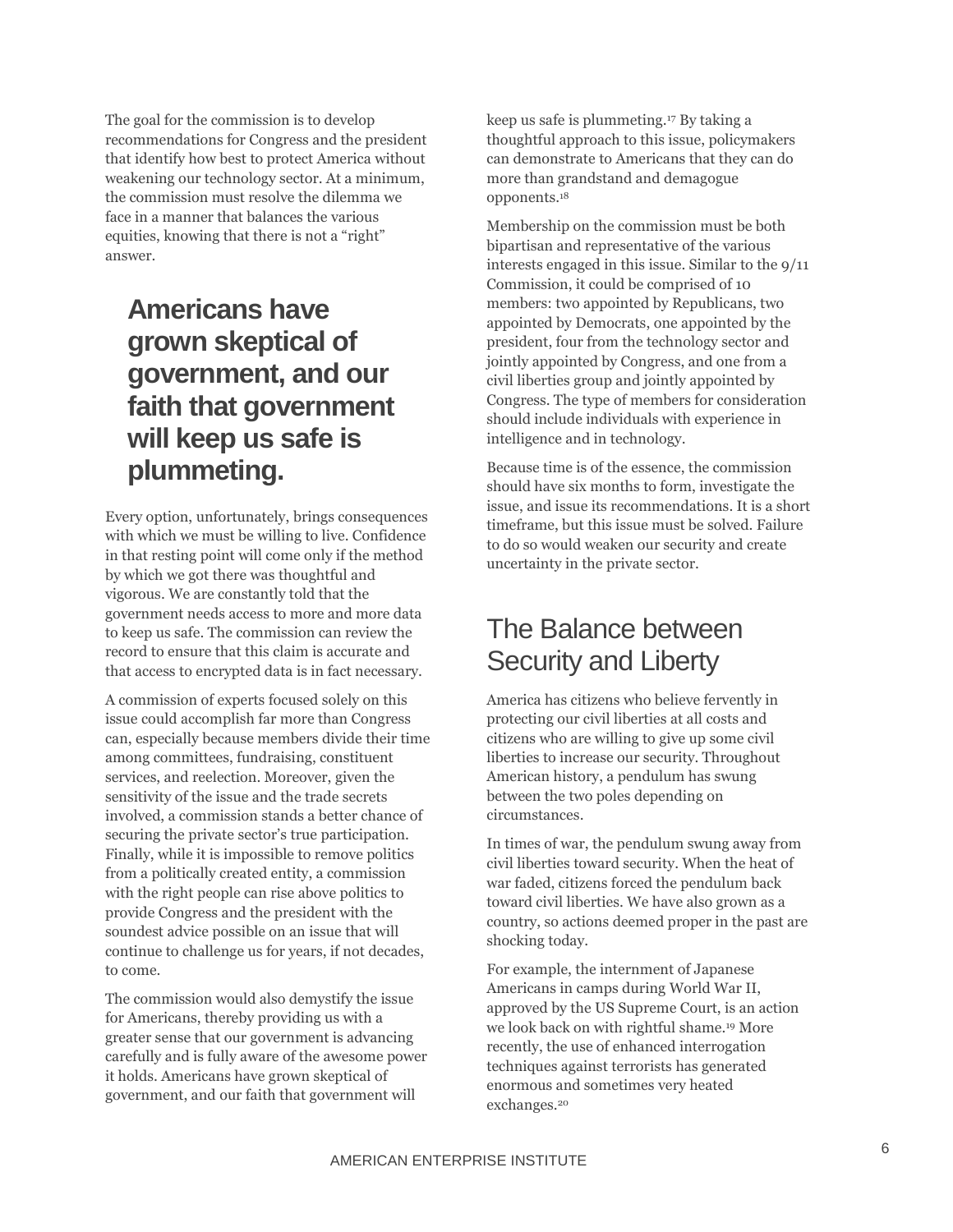The goal for the commission is to develop recommendations for Congress and the president that identify how best to protect America without weakening our technology sector. At a minimum, the commission must resolve the dilemma we face in a manner that balances the various equities, knowing that there is not a "right" answer.

# **Americans have grown skeptical of government, and our faith that government will keep us safe is plummeting.**

Every option, unfortunately, brings consequences with which we must be willing to live. Confidence in that resting point will come only if the method by which we got there was thoughtful and vigorous. We are constantly told that the government needs access to more and more data to keep us safe. The commission can review the record to ensure that this claim is accurate and that access to encrypted data is in fact necessary.

A commission of experts focused solely on this issue could accomplish far more than Congress can, especially because members divide their time among committees, fundraising, constituent services, and reelection. Moreover, given the sensitivity of the issue and the trade secrets involved, a commission stands a better chance of securing the private sector's true participation. Finally, while it is impossible to remove politics from a politically created entity, a commission with the right people can rise above politics to provide Congress and the president with the soundest advice possible on an issue that will continue to challenge us for years, if not decades, to come.

The commission would also demystify the issue for Americans, thereby providing us with a greater sense that our government is advancing carefully and is fully aware of the awesome power it holds. Americans have grown skeptical of government, and our faith that government will

keep us safe is plummeting.<sup>17</sup> By taking a thoughtful approach to this issue, policymakers can demonstrate to Americans that they can do more than grandstand and demagogue opponents.<sup>18</sup>

Membership on the commission must be both bipartisan and representative of the various interests engaged in this issue. Similar to the 9/11 Commission, it could be comprised of 10 members: two appointed by Republicans, two appointed by Democrats, one appointed by the president, four from the technology sector and jointly appointed by Congress, and one from a civil liberties group and jointly appointed by Congress. The type of members for consideration should include individuals with experience in intelligence and in technology.

Because time is of the essence, the commission should have six months to form, investigate the issue, and issue its recommendations. It is a short timeframe, but this issue must be solved. Failure to do so would weaken our security and create uncertainty in the private sector.

## The Balance between Security and Liberty

America has citizens who believe fervently in protecting our civil liberties at all costs and citizens who are willing to give up some civil liberties to increase our security. Throughout American history, a pendulum has swung between the two poles depending on circumstances.

In times of war, the pendulum swung away from civil liberties toward security. When the heat of war faded, citizens forced the pendulum back toward civil liberties. We have also grown as a country, so actions deemed proper in the past are shocking today.

For example, the internment of Japanese Americans in camps during World War II, approved by the US Supreme Court, is an action we look back on with rightful shame.<sup>19</sup> More recently, the use of enhanced interrogation techniques against terrorists has generated enormous and sometimes very heated exchanges.<sup>20</sup>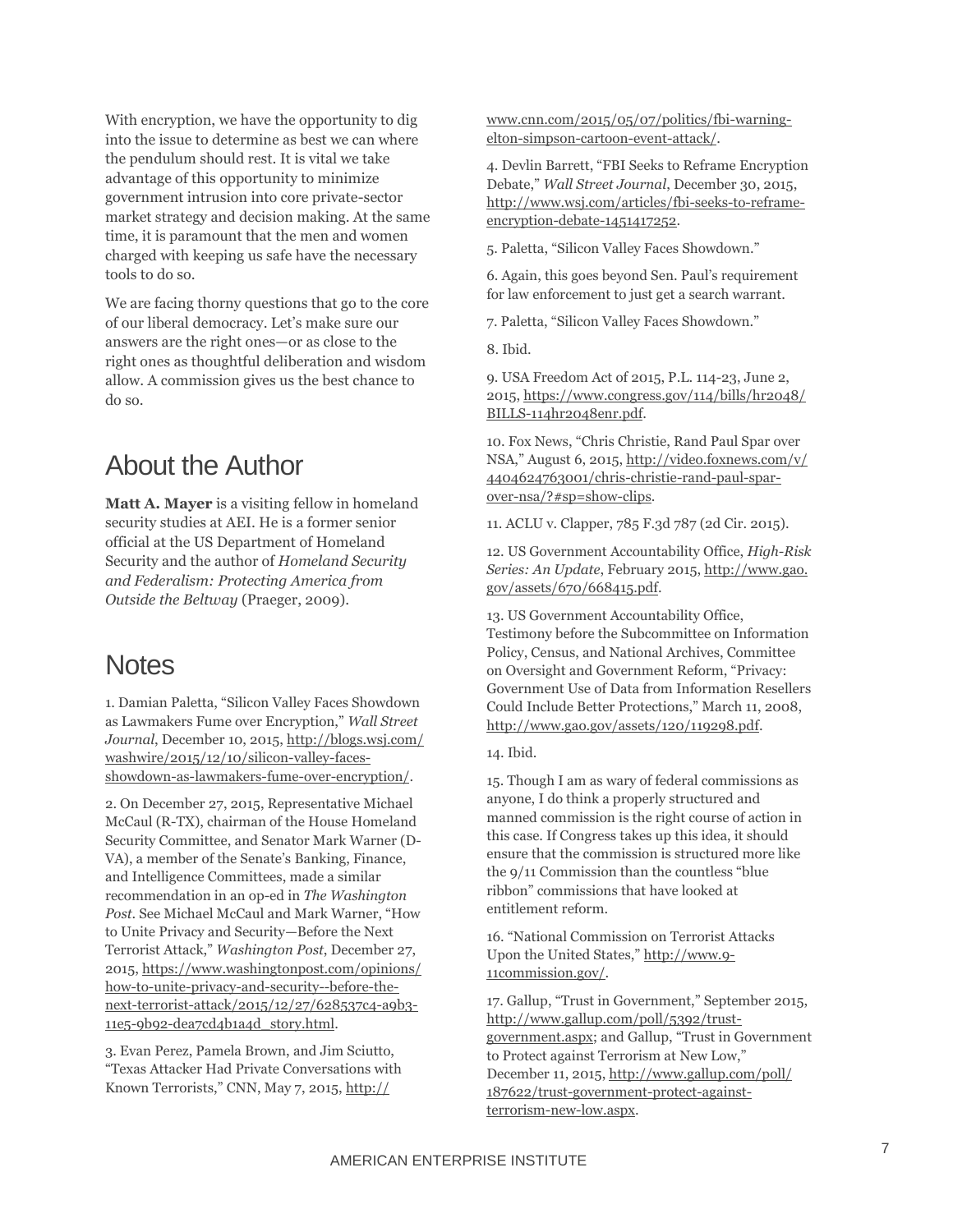With encryption, we have the opportunity to dig into the issue to determine as best we can where the pendulum should rest. It is vital we take advantage of this opportunity to minimize government intrusion into core private-sector market strategy and decision making. At the same time, it is paramount that the men and women charged with keeping us safe have the necessary tools to do so.

We are facing thorny questions that go to the core of our liberal democracy. Let's make sure our answers are the right ones—or as close to the right ones as thoughtful deliberation and wisdom allow. A commission gives us the best chance to do so.

#### About the Author

**Matt A. Mayer** is a visiting fellow in homeland security studies at AEI. He is a former senior official at the US Department of Homeland Security and the author of *Homeland Security and Federalism: Protecting America from Outside the Beltway* (Praeger, 2009).

#### **Notes**

1. Damian Paletta, "Silicon Valley Faces Showdown as Lawmakers Fume over Encryption," *Wall Street Journal*, December 10, 2015[, http://blogs.wsj.com/](http://blogs.wsj.com/%20washwire/2015/12/10/silicon-valley-faces-showdown-as-lawmakers-fume-over-encryption/)  [washwire/2015/12/10/silicon-valley-faces](http://blogs.wsj.com/%20washwire/2015/12/10/silicon-valley-faces-showdown-as-lawmakers-fume-over-encryption/)[showdown-as-lawmakers-fume-over-encryption/.](http://blogs.wsj.com/%20washwire/2015/12/10/silicon-valley-faces-showdown-as-lawmakers-fume-over-encryption/)

2. On December 27, 2015, Representative Michael McCaul (R-TX), chairman of the House Homeland Security Committee, and Senator Mark Warner (D-VA), a member of the Senate's Banking, Finance, and Intelligence Committees, made a similar recommendation in an op-ed in *The Washington Post*. See Michael McCaul and Mark Warner, "How to Unite Privacy and Security—Before the Next Terrorist Attack," *Washington Post*, December 27, 2015[, https://www.washingtonpost.com/opinions/](https://www.washingtonpost.com/opinions/%20how-to-unite-privacy-and-security--before-the-next-terrorist-attack/2015/12/27/628537c4-a9b3-11e5-9b92-dea7cd4b1a4d_story.html)  [how-to-unite-privacy-and-security--before-the](https://www.washingtonpost.com/opinions/%20how-to-unite-privacy-and-security--before-the-next-terrorist-attack/2015/12/27/628537c4-a9b3-11e5-9b92-dea7cd4b1a4d_story.html)[next-terrorist-attack/2015/12/27/628537c4-a9b3-](https://www.washingtonpost.com/opinions/%20how-to-unite-privacy-and-security--before-the-next-terrorist-attack/2015/12/27/628537c4-a9b3-11e5-9b92-dea7cd4b1a4d_story.html) [11e5-9b92-dea7cd4b1a4d\\_story.html.](https://www.washingtonpost.com/opinions/%20how-to-unite-privacy-and-security--before-the-next-terrorist-attack/2015/12/27/628537c4-a9b3-11e5-9b92-dea7cd4b1a4d_story.html)

3. Evan Perez, Pamela Brown, and Jim Sciutto, "Texas Attacker Had Private Conversations with Known Terrorists," CNN, May 7, 2015, http://

www.cnn.com/2015/05/07/politics/fbi-warningelton-simpson-cartoon-event-attack/.

4. Devlin Barrett, "FBI Seeks to Reframe Encryption Debate," *Wall Street Journal*, December 30, 2015, [http://www.wsj.com/articles/fbi-seeks-to-reframe](http://www.wsj.com/articles/fbi-seeks-to-reframe-encryption-debate-1451417252)[encryption-debate-1451417252.](http://www.wsj.com/articles/fbi-seeks-to-reframe-encryption-debate-1451417252)

5. Paletta, "Silicon Valley Faces Showdown."

6. Again, this goes beyond Sen. Paul's requirement for law enforcement to just get a search warrant.

7. Paletta, "Silicon Valley Faces Showdown."

8. Ibid.

9. USA Freedom Act of 2015, P.L. 114-23, June 2, 2015[, https://www.congress.gov/114/bills/hr2048/](https://www.congress.gov/114/bills/hr2048/%20BILLS-114hr2048enr.pdf)  [BILLS-114hr2048enr.pdf.](https://www.congress.gov/114/bills/hr2048/%20BILLS-114hr2048enr.pdf)

10. Fox News, "Chris Christie, Rand Paul Spar over NSA," August 6, 2015, [http://video.foxnews.com/v/](http://video.foxnews.com/v/%204404624763001/chris-christie-rand-paul-spar-over-nsa/?#sp=show-clips)  [4404624763001/chris-christie-rand-paul-spar](http://video.foxnews.com/v/%204404624763001/chris-christie-rand-paul-spar-over-nsa/?#sp=show-clips)[over-nsa/?#sp=show-clips.](http://video.foxnews.com/v/%204404624763001/chris-christie-rand-paul-spar-over-nsa/?#sp=show-clips)

11. ACLU v. Clapper, 785 F.3d 787 (2d Cir. 2015).

12. US Government Accountability Office, *High-Risk Series: An Update*, February 2015, http://www.gao. gov/assets/670/668415.pdf.

13. US Government Accountability Office, Testimony before the Subcommittee on Information Policy, Census, and National Archives, Committee on Oversight and Government Reform, "Privacy: Government Use of Data from Information Resellers Could Include Better Protections," March 11, 2008, [http://www.gao.gov/assets/120/119298.pdf.](http://www.gao.gov/assets/120/119298.pdf)

14. Ibid.

15. Though I am as wary of federal commissions as anyone, I do think a properly structured and manned commission is the right course of action in this case. If Congress takes up this idea, it should ensure that the commission is structured more like the 9/11 Commission than the countless "blue ribbon" commissions that have looked at entitlement reform.

16. "National Commission on Terrorist Attacks Upon the United States," [http://www.9-](http://www.9-11commission.gov/) [11commission.gov/.](http://www.9-11commission.gov/)

17. Gallup, "Trust in Government," September 2015, [http://www.gallup.com/poll/5392/trust](http://www.gallup.com/poll/5392/trust-government.aspx)[government.aspx](http://www.gallup.com/poll/5392/trust-government.aspx); and Gallup, "Trust in Government to Protect against Terrorism at New Low," December 11, 2015[, http://www.gallup.com/poll/](http://www.gallup.com/poll/%20187622/trust-government-protect-against-terrorism-new-low.aspx)  [187622/trust-government-protect-against](http://www.gallup.com/poll/%20187622/trust-government-protect-against-terrorism-new-low.aspx)[terrorism-new-low.aspx.](http://www.gallup.com/poll/%20187622/trust-government-protect-against-terrorism-new-low.aspx)